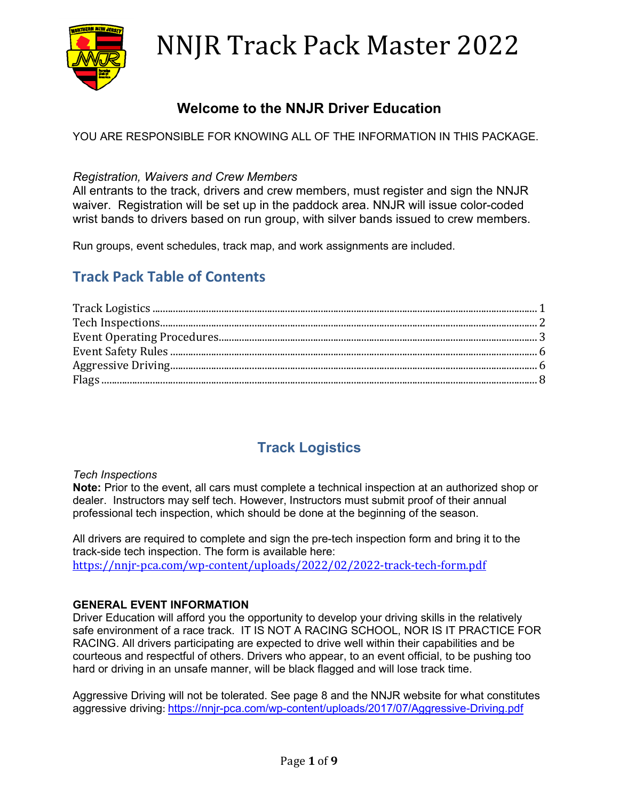

## **Welcome to the NNJR Driver Education**

YOU ARE RESPONSIBLE FOR KNOWING ALL OF THE INFORMATION IN THIS PACKAGE.

### *Registration, Waivers and Crew Members*

All entrants to the track, drivers and crew members, must register and sign the NNJR waiver. Registration will be set up in the paddock area. NNJR will issue color-coded wrist bands to drivers based on run group, with silver bands issued to crew members.

Run groups, event schedules, track map, and work assignments are included.

## **Track Pack Table of Contents**

## **Track Logistics**

### *Tech Inspections*

**Note:** Prior to the event, all cars must complete a technical inspection at an authorized shop or dealer. Instructors may self tech. However, Instructors must submit proof of their annual professional tech inspection, which should be done at the beginning of the season.

All drivers are required to complete and sign the pre-tech inspection form and bring it to the track-side tech inspection. The form is available here: <https://nnjr-pca.com/wp-content/uploads/2022/02/2022-track-tech-form.pdf>

### **GENERAL EVENT INFORMATION**

Driver Education will afford you the opportunity to develop your driving skills in the relatively safe environment of a race track. IT IS NOT A RACING SCHOOL, NOR IS IT PRACTICE FOR RACING. All drivers participating are expected to drive well within their capabilities and be courteous and respectful of others. Drivers who appear, to an event official, to be pushing too hard or driving in an unsafe manner, will be black flagged and will lose track time.

Aggressive Driving will not be tolerated. See page 8 and the NNJR website for what constitutes aggressive driving: <https://nnjr-pca.com/wp-content/uploads/2017/07/Aggressive-Driving.pdf>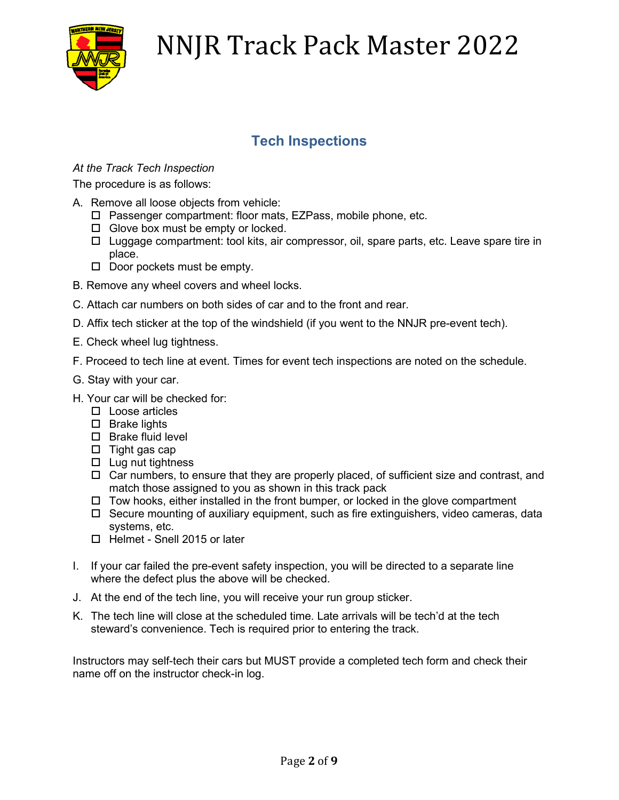

## **Tech Inspections**

### *At the Track Tech Inspection*

The procedure is as follows:

- A. Remove all loose objects from vehicle:
	- □ Passenger compartment: floor mats, EZPass, mobile phone, etc.
	- $\Box$  Glove box must be empty or locked.
	- $\Box$  Luggage compartment: tool kits, air compressor, oil, spare parts, etc. Leave spare tire in place.
	- $\Box$  Door pockets must be empty.
- B. Remove any wheel covers and wheel locks.
- C. Attach car numbers on both sides of car and to the front and rear.
- D. Affix tech sticker at the top of the windshield (if you went to the NNJR pre-event tech).
- E. Check wheel lug tightness.
- F. Proceed to tech line at event. Times for event tech inspections are noted on the schedule.
- G. Stay with your car.
- H. Your car will be checked for:
	- $\square$  Loose articles
	- $\square$  Brake lights
	- $\square$  Brake fluid level
	- $\square$  Tight gas cap
	- $\Box$  Lug nut tightness
	- $\Box$  Car numbers, to ensure that they are properly placed, of sufficient size and contrast, and match those assigned to you as shown in this track pack
	- $\Box$  Tow hooks, either installed in the front bumper, or locked in the glove compartment
	- $\Box$  Secure mounting of auxiliary equipment, such as fire extinguishers, video cameras, data systems, etc.
	- □ Helmet Snell 2015 or later
- I. If your car failed the pre-event safety inspection, you will be directed to a separate line where the defect plus the above will be checked.
- J. At the end of the tech line, you will receive your run group sticker.
- K. The tech line will close at the scheduled time. Late arrivals will be tech'd at the tech steward's convenience. Tech is required prior to entering the track.

Instructors may self-tech their cars but MUST provide a completed tech form and check their name off on the instructor check-in log.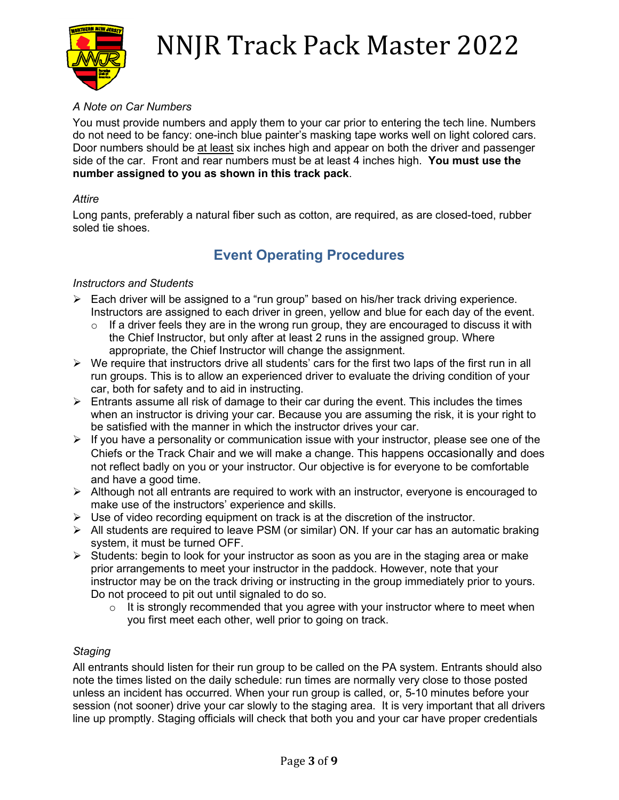

### *A Note on Car Numbers*

You must provide numbers and apply them to your car prior to entering the tech line. Numbers do not need to be fancy: one-inch blue painter's masking tape works well on light colored cars. Door numbers should be at least six inches high and appear on both the driver and passenger side of the car. Front and rear numbers must be at least 4 inches high. **You must use the number assigned to you as shown in this track pack**.

### *Attire*

Long pants, preferably a natural fiber such as cotton, are required, as are closed-toed, rubber soled tie shoes.

### **Event Operating Procedures**

### *Instructors and Students*

- Each driver will be assigned to a "run group" based on his/her track driving experience. Instructors are assigned to each driver in green, yellow and blue for each day of the event.
	- $\circ$  If a driver feels they are in the wrong run group, they are encouraged to discuss it with the Chief Instructor, but only after at least 2 runs in the assigned group. Where appropriate, the Chief Instructor will change the assignment.
- $\triangleright$  We require that instructors drive all students' cars for the first two laps of the first run in all run groups. This is to allow an experienced driver to evaluate the driving condition of your car, both for safety and to aid in instructing.
- $\triangleright$  Entrants assume all risk of damage to their car during the event. This includes the times when an instructor is driving your car. Because you are assuming the risk, it is your right to be satisfied with the manner in which the instructor drives your car.
- $\triangleright$  If you have a personality or communication issue with your instructor, please see one of the Chiefs or the Track Chair and we will make a change. This happens occasionally and does not reflect badly on you or your instructor. Our objective is for everyone to be comfortable and have a good time.
- $\triangleright$  Although not all entrants are required to work with an instructor, everyone is encouraged to make use of the instructors' experience and skills.
- $\triangleright$  Use of video recording equipment on track is at the discretion of the instructor.
- $\triangleright$  All students are required to leave PSM (or similar) ON. If your car has an automatic braking system, it must be turned OFF.
- $\triangleright$  Students: begin to look for your instructor as soon as you are in the staging area or make prior arrangements to meet your instructor in the paddock. However, note that your instructor may be on the track driving or instructing in the group immediately prior to yours. Do not proceed to pit out until signaled to do so.
	- $\circ$  It is strongly recommended that you agree with your instructor where to meet when you first meet each other, well prior to going on track.

### *Staging*

All entrants should listen for their run group to be called on the PA system. Entrants should also note the times listed on the daily schedule: run times are normally very close to those posted unless an incident has occurred. When your run group is called, or, 5-10 minutes before your session (not sooner) drive your car slowly to the staging area. It is very important that all drivers line up promptly. Staging officials will check that both you and your car have proper credentials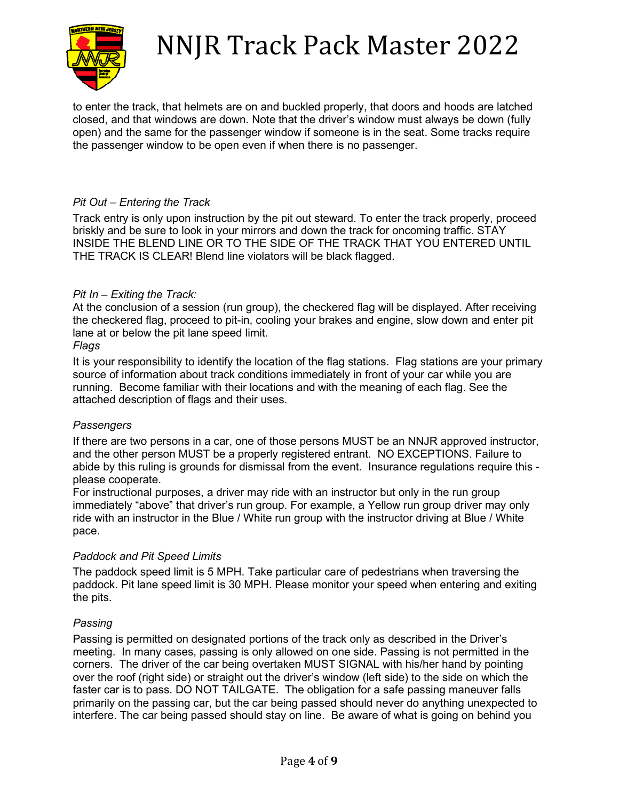

to enter the track, that helmets are on and buckled properly, that doors and hoods are latched closed, and that windows are down. Note that the driver's window must always be down (fully open) and the same for the passenger window if someone is in the seat. Some tracks require the passenger window to be open even if when there is no passenger.

### *Pit Out – Entering the Track*

Track entry is only upon instruction by the pit out steward. To enter the track properly, proceed briskly and be sure to look in your mirrors and down the track for oncoming traffic. STAY INSIDE THE BLEND LINE OR TO THE SIDE OF THE TRACK THAT YOU ENTERED UNTIL THE TRACK IS CLEAR! Blend line violators will be black flagged.

### *Pit In – Exiting the Track:*

At the conclusion of a session (run group), the checkered flag will be displayed. After receiving the checkered flag, proceed to pit-in, cooling your brakes and engine, slow down and enter pit lane at or below the pit lane speed limit.

#### *Flags*

It is your responsibility to identify the location of the flag stations. Flag stations are your primary source of information about track conditions immediately in front of your car while you are running. Become familiar with their locations and with the meaning of each flag. See the attached description of flags and their uses.

### *Passengers*

If there are two persons in a car, one of those persons MUST be an NNJR approved instructor, and the other person MUST be a properly registered entrant. NO EXCEPTIONS. Failure to abide by this ruling is grounds for dismissal from the event. Insurance regulations require this please cooperate.

For instructional purposes, a driver may ride with an instructor but only in the run group immediately "above" that driver's run group. For example, a Yellow run group driver may only ride with an instructor in the Blue / White run group with the instructor driving at Blue / White pace.

### *Paddock and Pit Speed Limits*

The paddock speed limit is 5 MPH. Take particular care of pedestrians when traversing the paddock. Pit lane speed limit is 30 MPH. Please monitor your speed when entering and exiting the pits.

### *Passing*

Passing is permitted on designated portions of the track only as described in the Driver's meeting. In many cases, passing is only allowed on one side. Passing is not permitted in the corners. The driver of the car being overtaken MUST SIGNAL with his/her hand by pointing over the roof (right side) or straight out the driver's window (left side) to the side on which the faster car is to pass. DO NOT TAILGATE. The obligation for a safe passing maneuver falls primarily on the passing car, but the car being passed should never do anything unexpected to interfere. The car being passed should stay on line. Be aware of what is going on behind you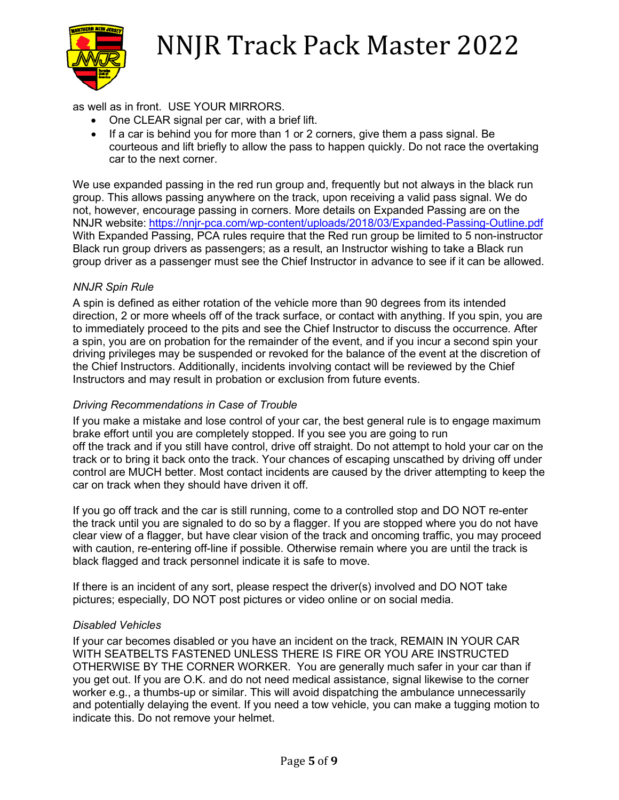

as well as in front. USE YOUR MIRRORS.

- One CLEAR signal per car, with a brief lift.
- If a car is behind you for more than 1 or 2 corners, give them a pass signal. Be courteous and lift briefly to allow the pass to happen quickly. Do not race the overtaking car to the next corner.

We use expanded passing in the red run group and, frequently but not always in the black run group. This allows passing anywhere on the track, upon receiving a valid pass signal. We do not, however, encourage passing in corners. More details on Expanded Passing are on the NNJR website: <https://nnjr-pca.com/wp-content/uploads/2018/03/Expanded-Passing-Outline.pdf> With Expanded Passing, PCA rules require that the Red run group be limited to 5 non-instructor Black run group drivers as passengers; as a result, an Instructor wishing to take a Black run group driver as a passenger must see the Chief Instructor in advance to see if it can be allowed.

### *NNJR Spin Rule*

A spin is defined as either rotation of the vehicle more than 90 degrees from its intended direction, 2 or more wheels off of the track surface, or contact with anything. If you spin, you are to immediately proceed to the pits and see the Chief Instructor to discuss the occurrence. After a spin, you are on probation for the remainder of the event, and if you incur a second spin your driving privileges may be suspended or revoked for the balance of the event at the discretion of the Chief Instructors. Additionally, incidents involving contact will be reviewed by the Chief Instructors and may result in probation or exclusion from future events.

### *Driving Recommendations in Case of Trouble*

If you make a mistake and lose control of your car, the best general rule is to engage maximum brake effort until you are completely stopped. If you see you are going to run off the track and if you still have control, drive off straight. Do not attempt to hold your car on the track or to bring it back onto the track. Your chances of escaping unscathed by driving off under control are MUCH better. Most contact incidents are caused by the driver attempting to keep the car on track when they should have driven it off.

If you go off track and the car is still running, come to a controlled stop and DO NOT re-enter the track until you are signaled to do so by a flagger. If you are stopped where you do not have clear view of a flagger, but have clear vision of the track and oncoming traffic, you may proceed with caution, re-entering off-line if possible. Otherwise remain where you are until the track is black flagged and track personnel indicate it is safe to move.

If there is an incident of any sort, please respect the driver(s) involved and DO NOT take pictures; especially, DO NOT post pictures or video online or on social media.

### *Disabled Vehicles*

If your car becomes disabled or you have an incident on the track, REMAIN IN YOUR CAR WITH SEATBELTS FASTENED UNLESS THERE IS FIRE OR YOU ARE INSTRUCTED OTHERWISE BY THE CORNER WORKER. You are generally much safer in your car than if you get out. If you are O.K. and do not need medical assistance, signal likewise to the corner worker e.g., a thumbs-up or similar. This will avoid dispatching the ambulance unnecessarily and potentially delaying the event. If you need a tow vehicle, you can make a tugging motion to indicate this. Do not remove your helmet.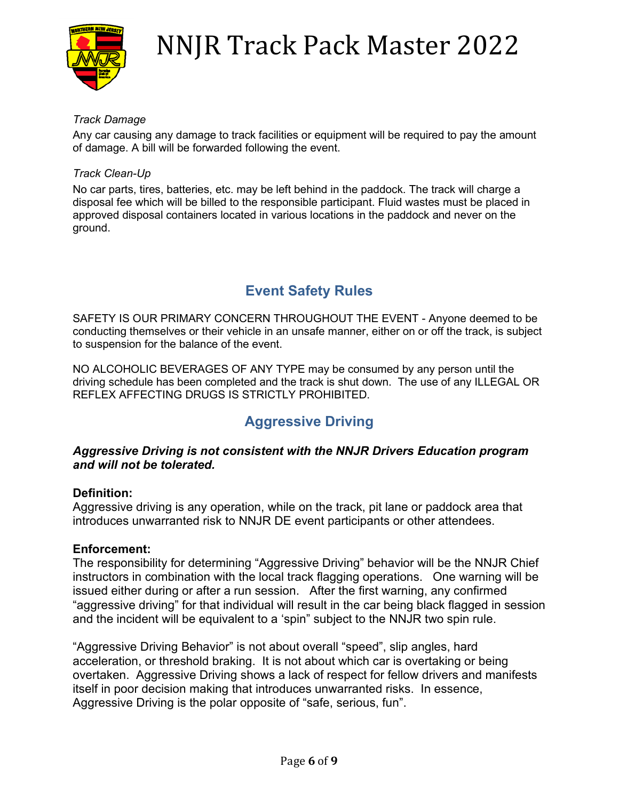

### *Track Damage*

Any car causing any damage to track facilities or equipment will be required to pay the amount of damage. A bill will be forwarded following the event.

### *Track Clean-Up*

No car parts, tires, batteries, etc. may be left behind in the paddock. The track will charge a disposal fee which will be billed to the responsible participant. Fluid wastes must be placed in approved disposal containers located in various locations in the paddock and never on the ground.

## **Event Safety Rules**

SAFETY IS OUR PRIMARY CONCERN THROUGHOUT THE EVENT - Anyone deemed to be conducting themselves or their vehicle in an unsafe manner, either on or off the track, is subject to suspension for the balance of the event.

NO ALCOHOLIC BEVERAGES OF ANY TYPE may be consumed by any person until the driving schedule has been completed and the track is shut down. The use of any ILLEGAL OR REFLEX AFFECTING DRUGS IS STRICTLY PROHIBITED.

## **Aggressive Driving**

### *Aggressive Driving is not consistent with the NNJR Drivers Education program and will not be tolerated.*

### **Definition:**

Aggressive driving is any operation, while on the track, pit lane or paddock area that introduces unwarranted risk to NNJR DE event participants or other attendees.

### **Enforcement:**

The responsibility for determining "Aggressive Driving" behavior will be the NNJR Chief instructors in combination with the local track flagging operations. One warning will be issued either during or after a run session. After the first warning, any confirmed "aggressive driving" for that individual will result in the car being black flagged in session and the incident will be equivalent to a 'spin" subject to the NNJR two spin rule.

"Aggressive Driving Behavior" is not about overall "speed", slip angles, hard acceleration, or threshold braking. It is not about which car is overtaking or being overtaken. Aggressive Driving shows a lack of respect for fellow drivers and manifests itself in poor decision making that introduces unwarranted risks. In essence, Aggressive Driving is the polar opposite of "safe, serious, fun".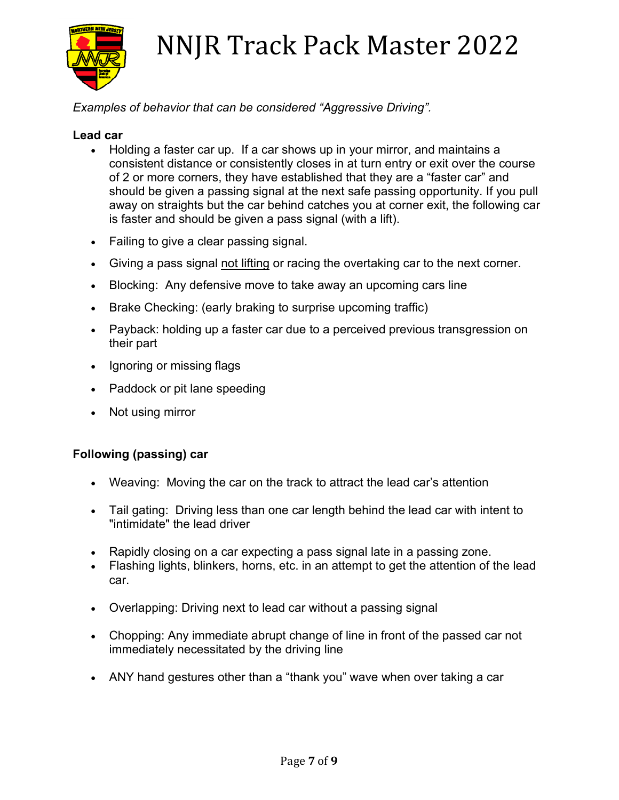

### *Examples of behavior that can be considered "Aggressive Driving".*

### **Lead car**

- Holding a faster car up. If a car shows up in your mirror, and maintains a consistent distance or consistently closes in at turn entry or exit over the course of 2 or more corners, they have established that they are a "faster car" and should be given a passing signal at the next safe passing opportunity. If you pull away on straights but the car behind catches you at corner exit, the following car is faster and should be given a pass signal (with a lift).
- Failing to give a clear passing signal.
- Giving a pass signal not lifting or racing the overtaking car to the next corner.
- Blocking: Any defensive move to take away an upcoming cars line
- Brake Checking: (early braking to surprise upcoming traffic)
- Payback: holding up a faster car due to a perceived previous transgression on their part
- Ignoring or missing flags
- Paddock or pit lane speeding
- Not using mirror

### **Following (passing) car**

- Weaving: Moving the car on the track to attract the lead car's attention
- Tail gating: Driving less than one car length behind the lead car with intent to "intimidate" the lead driver
- Rapidly closing on a car expecting a pass signal late in a passing zone.
- Flashing lights, blinkers, horns, etc. in an attempt to get the attention of the lead car.
- Overlapping: Driving next to lead car without a passing signal
- Chopping: Any immediate abrupt change of line in front of the passed car not immediately necessitated by the driving line
- ANY hand gestures other than a "thank you" wave when over taking a car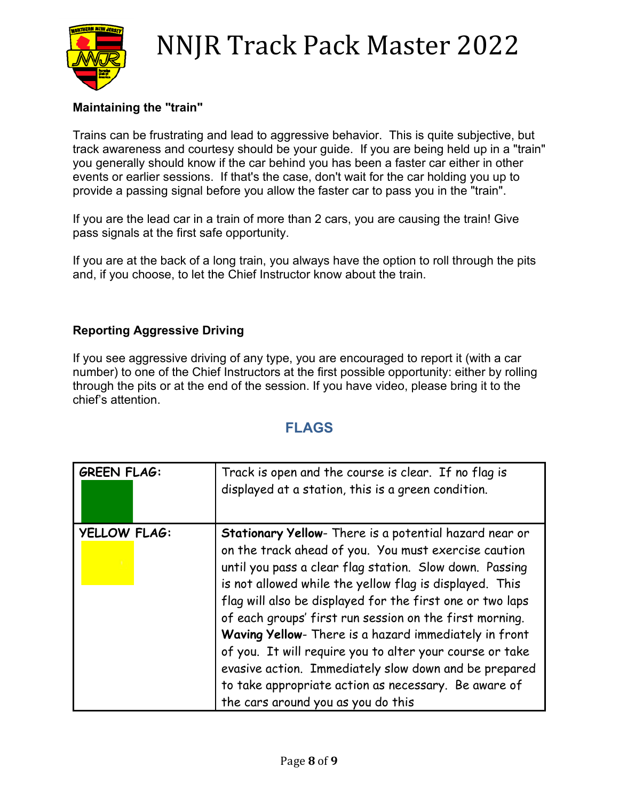

### **Maintaining the "train"**

Trains can be frustrating and lead to aggressive behavior. This is quite subjective, but track awareness and courtesy should be your guide. If you are being held up in a "train" you generally should know if the car behind you has been a faster car either in other events or earlier sessions. If that's the case, don't wait for the car holding you up to provide a passing signal before you allow the faster car to pass you in the "train".

If you are the lead car in a train of more than 2 cars, you are causing the train! Give pass signals at the first safe opportunity.

If you are at the back of a long train, you always have the option to roll through the pits and, if you choose, to let the Chief Instructor know about the train.

### **Reporting Aggressive Driving**

If you see aggressive driving of any type, you are encouraged to report it (with a car number) to one of the Chief Instructors at the first possible opportunity: either by rolling through the pits or at the end of the session. If you have video, please bring it to the chief's attention.

### **FLAGS**

| <b>GREEN FLAG:</b>  | Track is open and the course is clear. If no flag is<br>displayed at a station, this is a green condition.                                                                                                                                                                                                                                                                                                                                                                                                                                                                                                                               |
|---------------------|------------------------------------------------------------------------------------------------------------------------------------------------------------------------------------------------------------------------------------------------------------------------------------------------------------------------------------------------------------------------------------------------------------------------------------------------------------------------------------------------------------------------------------------------------------------------------------------------------------------------------------------|
| <b>YELLOW FLAG:</b> | Stationary Yellow- There is a potential hazard near or<br>on the track ahead of you. You must exercise caution<br>until you pass a clear flag station. Slow down. Passing<br>is not allowed while the yellow flag is displayed. This<br>flag will also be displayed for the first one or two laps<br>of each groups' first run session on the first morning.<br>Waving Yellow- There is a hazard immediately in front<br>of you. It will require you to alter your course or take<br>evasive action. Immediately slow down and be prepared<br>to take appropriate action as necessary. Be aware of<br>the cars around you as you do this |